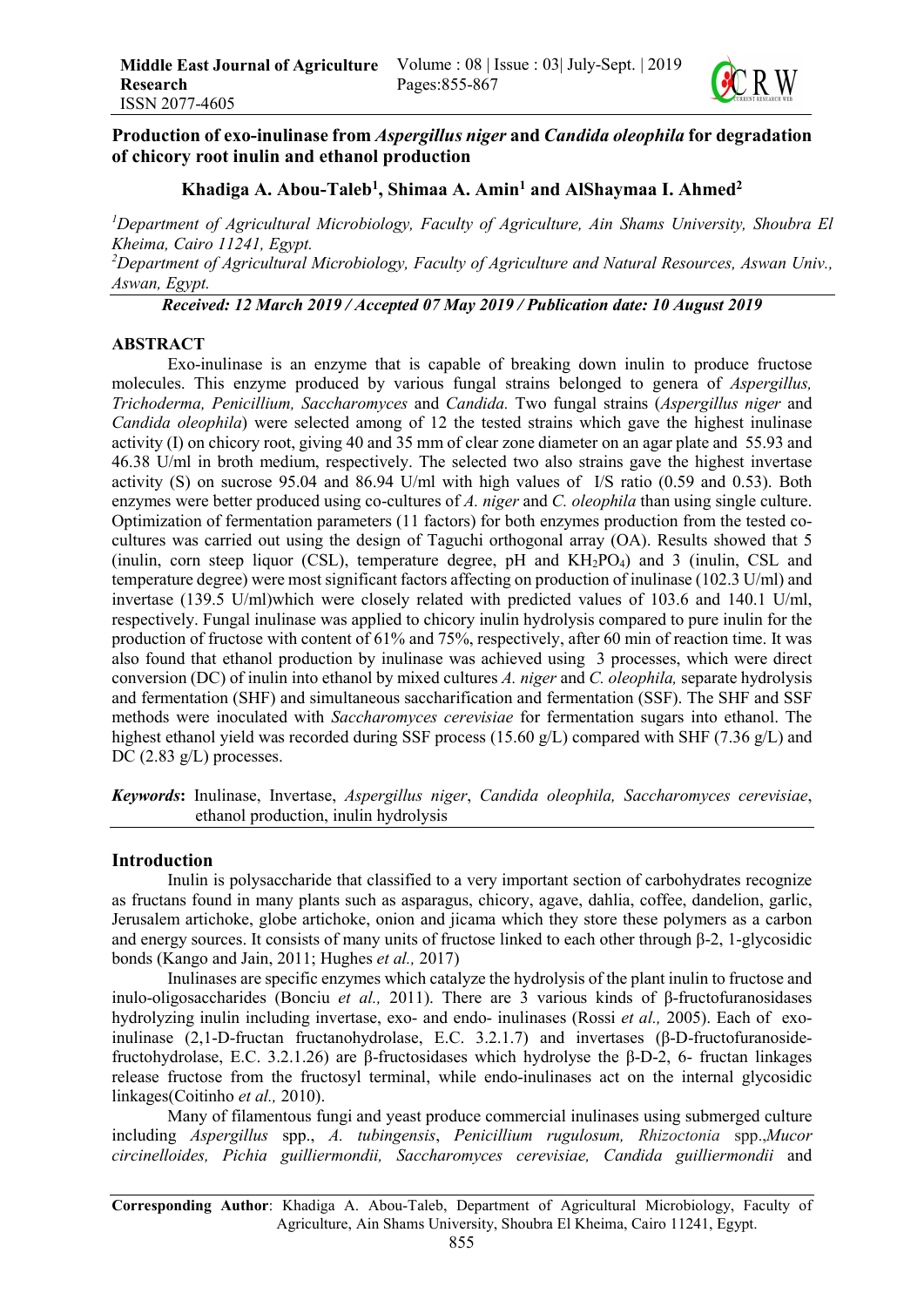

# Production of exo-inulinase from *Aspergillus niger* and *Candida oleophila* for degradation of chicory root inulin and ethanol production

# Khadiga A. Abou-Taleb<sup>1</sup>, Shimaa A. Amin<sup>1</sup> and AlShaymaa I. Ahmed<sup>2</sup>

*1 Department of Agricultural Microbiology, Faculty of Agriculture, Ain Shams University, Shoubra El Kheima, Cairo 11241, Egypt.*

*2 Department of Agricultural Microbiology, Faculty of Agriculture and Natural Resources, Aswan Univ., Aswan, Egypt.*

*Received: 12 March 2019 / Accepted 07 May 2019 / Publication date: 10 August 2019*

### ABSTRACT

Exo-inulinase is an enzyme that is capable of breaking down inulin to produce fructose molecules. This enzyme produced by various fungal strains belonged to genera of *Aspergillus, Trichoderma, Penicillium, Saccharomyces* and *Candida.* Two fungal strains (*Aspergillus niger* and *Candida oleophila*) were selected among of 12 the tested strains which gave the highest inulinase activity (I) on chicory root, giving 40 and 35 mm of clear zone diameter on an agar plate and 55.93 and 46.38 U/ml in broth medium, respectively. The selected two also strains gave the highest invertase activity (S) on sucrose 95.04 and 86.94 U/ml with high values of I/S ratio (0.59 and 0.53). Both enzymes were better produced using co-cultures of *A. niger* and *C. oleophila* than using single culture. Optimization of fermentation parameters (11 factors) for both enzymes production from the tested cocultures was carried out using the design of Taguchi orthogonal array (OA). Results showed that 5 (inulin, corn steep liquor (CSL), temperature degree, pH and KH2PO4) and 3 (inulin, CSL and temperature degree) were most significant factors affecting on production of inulinase (102.3 U/ml) and invertase (139.5 U/ml)which were closely related with predicted values of 103.6 and 140.1 U/ml, respectively. Fungal inulinase was applied to chicory inulin hydrolysis compared to pure inulin for the production of fructose with content of 61% and 75%, respectively, after 60 min of reaction time. It was also found that ethanol production by inulinase was achieved using 3 processes, which were direct conversion (DC) of inulin into ethanol by mixed cultures *A. niger* and *C. oleophila,* separate hydrolysis and fermentation (SHF) and simultaneous saccharification and fermentation (SSF). The SHF and SSF methods were inoculated with *Saccharomyces cerevisiae* for fermentation sugars into ethanol. The highest ethanol yield was recorded during SSF process (15.60 g/L) compared with SHF (7.36 g/L) and DC  $(2.83 \text{ g/L})$  processes.

*Keywords*: Inulinase, Invertase, *Aspergillus niger*, *Candida oleophila, Saccharomyces cerevisiae*, ethanol production, inulin hydrolysis

## Introduction

Inulin is polysaccharide that classified to a very important section of carbohydrates recognize as fructans found in many plants such as asparagus, chicory, agave, dahlia, coffee, dandelion, garlic, Jerusalem artichoke, globe artichoke, onion and jicama which they store these polymers as a carbon and energy sources. It consists of many units of fructose linked to each other through β-2, 1-glycosidic bonds (Kango and Jain, 2011; Hughes *et al.,* 2017)

Inulinases are specific enzymes which catalyze the hydrolysis of the plant inulin to fructose and inulo-oligosaccharides (Bonciu *et al.,* 2011). There are 3 various kinds of β-fructofuranosidases hydrolyzing inulin including invertase, exo- and endo- inulinases (Rossi *et al.,* 2005). Each of exoinulinase (2,1-D-fructan fructanohydrolase, E.C. 3.2.1.7) and invertases (β-D-fructofuranosidefructohydrolase, E.C. 3.2.1.26) are β-fructosidases which hydrolyse the β-D-2, 6- fructan linkages release fructose from the fructosyl terminal, while endo-inulinases act on the internal glycosidic linkages(Coitinho *et al.,* 2010).

Many of filamentous fungi and yeast produce commercial inulinases using submerged culture including *Aspergillus* spp., *A. tubingensis*, *Penicillium rugulosum, Rhizoctonia* spp.,*Mucor circinelloides, Pichia guilliermondii, Saccharomyces cerevisiae, Candida guilliermondii* and

Corresponding Author: Khadiga A. Abou-Taleb, Department of Agricultural Microbiology, Faculty of Agriculture, Ain Shams University, Shoubra El Kheima, Cairo 11241, Egypt.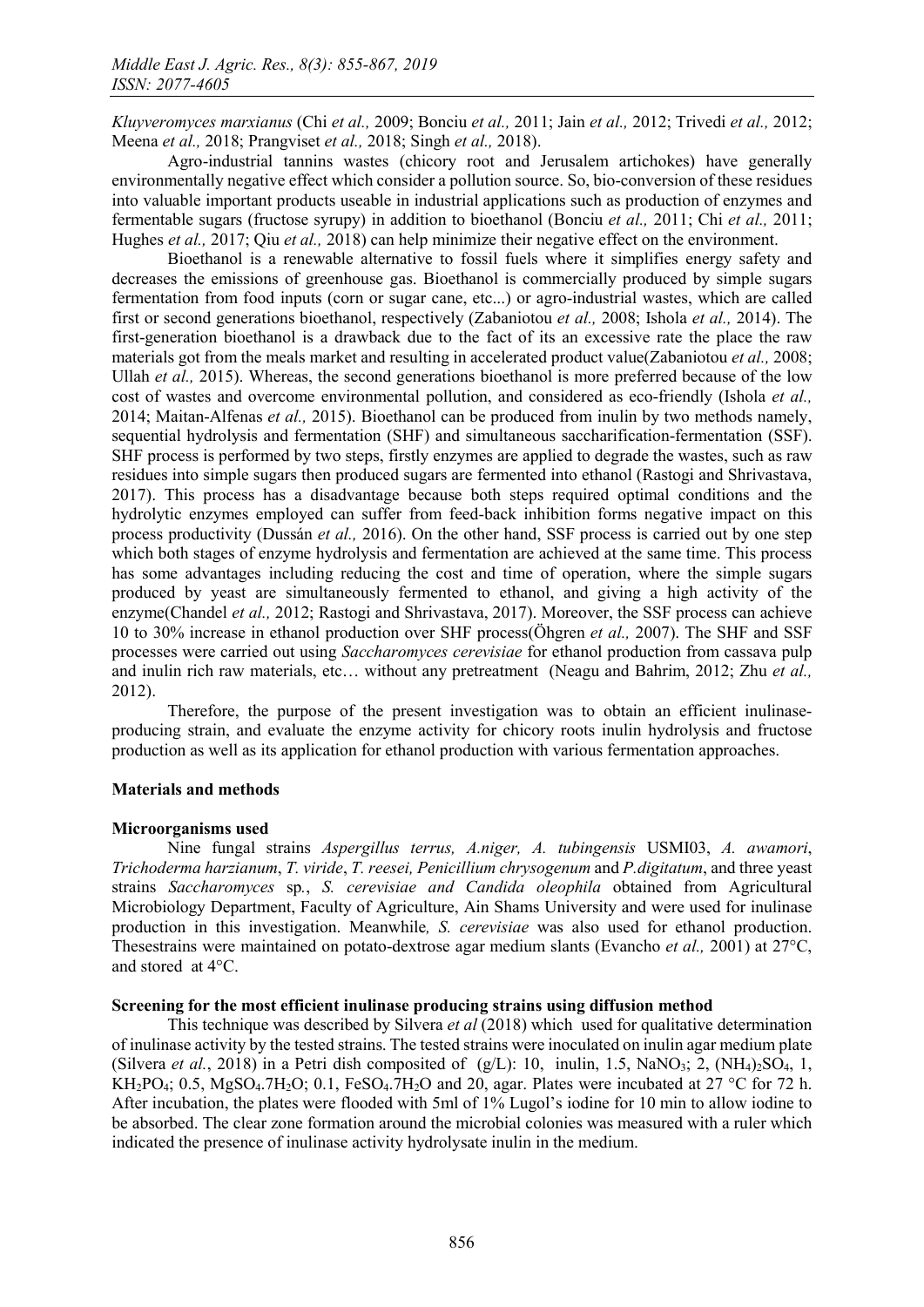*Kluyveromyces marxianus* (Chi *et al.,* 2009; Bonciu *et al.,* 2011; Jain *et al.,* 2012; Trivedi *et al.,* 2012; Meena *et al.,* 2018; Prangviset *et al.,* 2018; Singh *et al.,* 2018).

Agro-industrial tannins wastes (chicory root and Jerusalem artichokes) have generally environmentally negative effect which consider a pollution source. So, bio-conversion of these residues into valuable important products useable in industrial applications such as production of enzymes and fermentable sugars (fructose syrupy) in addition to bioethanol (Bonciu *et al.,* 2011; Chi *et al.,* 2011; Hughes *et al.,* 2017; Qiu *et al.,* 2018) can help minimize their negative effect on the environment.

Bioethanol is a renewable alternative to fossil fuels where it simplifies energy safety and decreases the emissions of greenhouse gas. Bioethanol is commercially produced by simple sugars fermentation from food inputs (corn or sugar cane, etc...) or agro-industrial wastes, which are called first or second generations bioethanol, respectively (Zabaniotou *et al.,* 2008; Ishola *et al.,* 2014). The first-generation bioethanol is a drawback due to the fact of its an excessive rate the place the raw materials got from the meals market and resulting in accelerated product value(Zabaniotou *et al.,* 2008; Ullah *et al.,* 2015). Whereas, the second generations bioethanol is more preferred because of the low cost of wastes and overcome environmental pollution, and considered as eco-friendly (Ishola *et al.,* 2014; Maitan-Alfenas *et al.,* 2015). Bioethanol can be produced from inulin by two methods namely, sequential hydrolysis and fermentation (SHF) and simultaneous saccharification-fermentation (SSF). SHF process is performed by two steps, firstly enzymes are applied to degrade the wastes, such as raw residues into simple sugars then produced sugars are fermented into ethanol (Rastogi and Shrivastava, 2017). This process has a disadvantage because both steps required optimal conditions and the hydrolytic enzymes employed can suffer from feed-back inhibition forms negative impact on this process productivity (Dussán *et al.,* 2016). On the other hand, SSF process is carried out by one step which both stages of enzyme hydrolysis and fermentation are achieved at the same time. This process has some advantages including reducing the cost and time of operation, where the simple sugars produced by yeast are simultaneously fermented to ethanol, and giving a high activity of the enzyme(Chandel *et al.,* 2012; Rastogi and Shrivastava, 2017). Moreover, the SSF process can achieve 10 to 30% increase in ethanol production over SHF process(Öhgren *et al.,* 2007). The SHF and SSF processes were carried out using *Saccharomyces cerevisiae* for ethanol production from cassava pulp and inulin rich raw materials, etc… without any pretreatment (Neagu and Bahrim, 2012; Zhu *et al.,* 2012).

Therefore, the purpose of the present investigation was to obtain an efficient inulinaseproducing strain, and evaluate the enzyme activity for chicory roots inulin hydrolysis and fructose production as well as its application for ethanol production with various fermentation approaches.

## Materials and methods

## Microorganisms used

Nine fungal strains *Aspergillus terrus, A.niger, A. tubingensis* USMI03, *A. awamori*, *Trichoderma harzianum*, *T. viride*, *T. reesei, Penicillium chrysogenum* and *P.digitatum*, and three yeast strains *Saccharomyces* sp*.*, *S. cerevisiae and Candida oleophila* obtained from Agricultural Microbiology Department, Faculty of Agriculture, Ain Shams University and were used for inulinase production in this investigation. Meanwhile*, S. cerevisiae* was also used for ethanol production. Thesestrains were maintained on potato-dextrose agar medium slants (Evancho *et al.,* 2001) at 27°C, and stored at 4°C.

## Screening for the most efficient inulinase producing strains using diffusion method

This technique was described by Silvera *et al* (2018) which used for qualitative determination of inulinase activity by the tested strains. The tested strains were inoculated on inulin agar medium plate (Silvera *et al.*, 2018) in a Petri dish composited of  $(g/L)$ : 10, inulin, 1.5, NaNO<sub>3</sub>; 2, (NH<sub>4</sub>)<sub>2</sub>SO<sub>4</sub>, 1, KH<sub>2</sub>PO<sub>4</sub>; 0.5, MgSO<sub>4</sub>.7H<sub>2</sub>O; 0.1, FeSO<sub>4</sub>.7H<sub>2</sub>O and 20, agar. Plates were incubated at 27 °C for 72 h. After incubation, the plates were flooded with 5ml of 1% Lugol's iodine for 10 min to allow iodine to be absorbed. The clear zone formation around the microbial colonies was measured with a ruler which indicated the presence of inulinase activity hydrolysate inulin in the medium.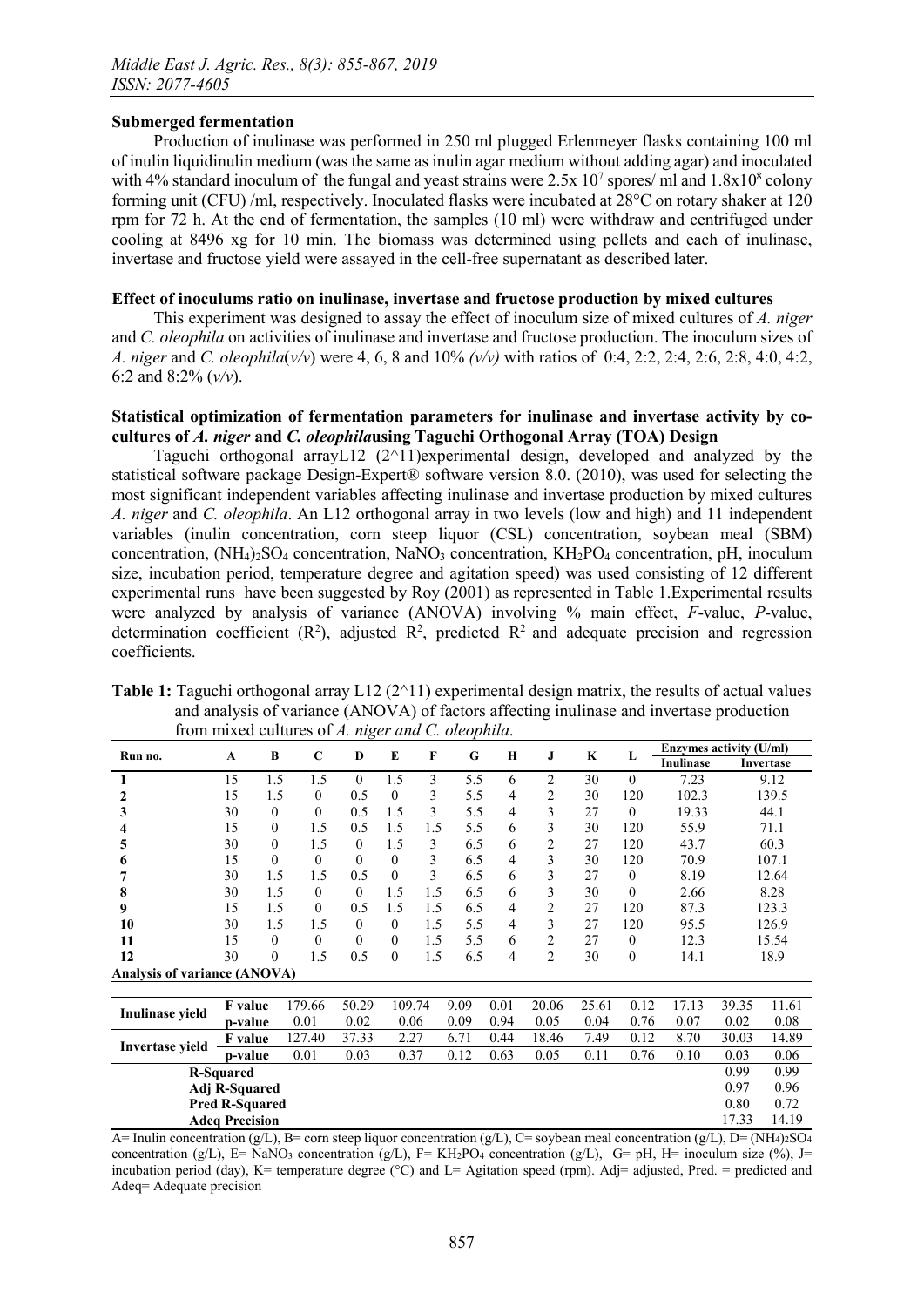## Submerged fermentation

Production of inulinase was performed in 250 ml plugged Erlenmeyer flasks containing 100 ml of inulin liquidinulin medium (was the same as inulin agar medium without adding agar) and inoculated with 4% standard inoculum of the fungal and yeast strains were  $2.5x\ 10^7$  spores/ ml and  $1.8x10^8$  colony forming unit (CFU) /ml, respectively. Inoculated flasks were incubated at 28°C on rotary shaker at 120 rpm for 72 h. At the end of fermentation, the samples (10 ml) were withdraw and centrifuged under cooling at 8496 xg for 10 min. The biomass was determined using pellets and each of inulinase, invertase and fructose yield were assayed in the cell-free supernatant as described later.

## Effect of inoculums ratio on inulinase, invertase and fructose production by mixed cultures

This experiment was designed to assay the effect of inoculum size of mixed cultures of *A. niger* and *C. oleophila* on activities of inulinase and invertase and fructose production. The inoculum sizes of *A. niger* and *C. oleophila*(*v/v*) were 4, 6, 8 and 10% *(v/v)* with ratios of 0:4, 2:2, 2:4, 2:6, 2:8, 4:0, 4:2, 6:2 and 8:2% (*v/v*).

# Statistical optimization of fermentation parameters for inulinase and invertase activity by cocultures of *A. niger* and *C. oleophila*using Taguchi Orthogonal Array (TOA) Design

Taguchi orthogonal arrayL12 (2^11)experimental design, developed and analyzed by the statistical software package Design-Expert® software version 8.0. (2010), was used for selecting the most significant independent variables affecting inulinase and invertase production by mixed cultures *A. niger* and *C. oleophila*. An L12 orthogonal array in two levels (low and high) and 11 independent variables (inulin concentration, corn steep liquor (CSL) concentration, soybean meal (SBM) concentration,  $(NH_4)_{2}SO_4$  concentration, NaNO<sub>3</sub> concentration, KH<sub>2</sub>PO<sub>4</sub> concentration, pH, inoculum size, incubation period, temperature degree and agitation speed) was used consisting of 12 different experimental runs have been suggested by Roy (2001) as represented in Table 1.Experimental results were analyzed by analysis of variance (ANOVA) involving % main effect, *F*-value, *P*-value, determination coefficient  $(R^2)$ , adjusted  $R^2$ , predicted  $R^2$  and adequate precision and regression coefficients.

| <b>Table 1:</b> Taguchi orthogonal array $L12(211)$ experimental design matrix, the results of actual values |
|--------------------------------------------------------------------------------------------------------------|
| and analysis of variance (ANOVA) of factors affecting inulinase and invertase production                     |
| from mixed cultures of A. niger and C. oleophila.                                                            |
|                                                                                                              |

| Run no.                             | A                     | B                | C                | D                | E            | F   | G    | $\bf{H}$ | J              | $\mathbf K$ | L                | Enzymes activity (U/ml) |       |           |  |
|-------------------------------------|-----------------------|------------------|------------------|------------------|--------------|-----|------|----------|----------------|-------------|------------------|-------------------------|-------|-----------|--|
|                                     |                       |                  |                  |                  |              |     |      |          |                |             |                  | Inulinase               |       | Invertase |  |
|                                     | 15                    | 1.5              | 1.5              | $\theta$         | 1.5          | 3   | 5.5  | 6        | $\overline{c}$ | 30          | $\mathbf{0}$     | 7.23                    |       | 9.12      |  |
| 2                                   | 15                    | 1.5              | $\boldsymbol{0}$ | 0.5              | $\theta$     | 3   | 5.5  | 4        | 2              | 30          | 120              | 102.3                   |       | 139.5     |  |
| 3                                   | 30                    | $\theta$         | $\theta$         | 0.5              | 1.5          | 3   | 5.5  | 4        | 3              | 27          | $\theta$         | 19.33                   | 44.1  |           |  |
|                                     | 15                    | $\theta$         | 1.5              | 0.5              | 1.5          | 1.5 | 5.5  | 6        | 3              | 30          | 120              | 55.9                    | 71.1  |           |  |
| 5                                   | 30                    | $\mathbf{0}$     | 1.5              | $\boldsymbol{0}$ | 1.5          | 3   | 6.5  | 6        | 2              | 27          | 120              | 43.7                    | 60.3  |           |  |
| 6                                   | 15                    | $\mathbf{0}$     | $\mathbf{0}$     | $\theta$         | $\mathbf{0}$ | 3   | 6.5  | 4        | 3              | 30          | 120              | 70.9                    |       | 107.1     |  |
|                                     | 30                    | 1.5              | 1.5              | 0.5              | $\theta$     | 3   | 6.5  | 6        | 3              | 27          | $\boldsymbol{0}$ | 8.19                    |       | 12.64     |  |
| 8                                   | 30                    | 1.5              | $\mathbf{0}$     | $\theta$         | 1.5          | 1.5 | 6.5  | 6        | 3              | 30          | $\mathbf{0}$     | 2.66                    |       | 8.28      |  |
| 9                                   | 15                    | 1.5              | $\boldsymbol{0}$ | 0.5              | 1.5          | 1.5 | 6.5  | 4        | 2              | 27          | 120              | 87.3                    | 123.3 |           |  |
| 10                                  | 30                    | 1.5              | 1.5              | $\theta$         | $\mathbf{0}$ | 1.5 | 5.5  | 4        | 3              | 27          | 120              | 95.5                    |       | 126.9     |  |
| 11                                  | 15                    | $\theta$         | $\boldsymbol{0}$ | $\theta$         | $\theta$     | 1.5 | 5.5  | 6        | $\overline{c}$ | 27          | $\mathbf{0}$     | 12.3                    | 15.54 |           |  |
| 12                                  | 30                    | $\boldsymbol{0}$ | 1.5              | 0.5              | $\theta$     | 1.5 | 6.5  | 4        | 2              | 30          | 0                | 14.1                    |       | 18.9      |  |
| <b>Analysis of variance (ANOVA)</b> |                       |                  |                  |                  |              |     |      |          |                |             |                  |                         |       |           |  |
|                                     |                       |                  |                  |                  |              |     |      |          |                |             |                  |                         |       |           |  |
| Inulinase yield                     | <b>F</b> value        |                  | 179.66           | 50.29            | 109.74       |     | 9.09 | 0.01     | 20.06          | 25.61       | 0.12             | 17.13                   | 39.35 | 11.61     |  |
|                                     | p-value               |                  | 0.01             | 0.02             | 0.06         |     | 0.09 | 0.94     | 0.05           | 0.04        | 0.76             | 0.07                    | 0.02  | 0.08      |  |
|                                     | <b>F</b> value        |                  | 127.40           | 37.33            | 2.27         |     | 6.71 | 0.44     | 18.46          | 7.49        | 0.12             | 8.70                    | 30.03 | 14.89     |  |
| <b>Invertase yield</b>              | p-value               |                  | 0.01             | 0.03             | 0.37         |     | 0.12 | 0.63     | 0.05           | 0.11        | 0.76             | 0.10                    | 0.03  | 0.06      |  |
| <b>R-Squared</b>                    |                       |                  |                  |                  |              |     |      |          |                |             |                  | 0.99                    | 0.99  |           |  |
| Adj R-Squared                       |                       |                  |                  |                  |              |     |      |          |                |             |                  | 0.97                    | 0.96  |           |  |
|                                     | <b>Pred R-Squared</b> |                  |                  |                  |              |     |      |          |                |             |                  |                         | 0.80  | 0.72      |  |
|                                     | <b>Adeq Precision</b> |                  |                  |                  |              |     |      |          |                |             |                  |                         | 17.33 | 14.19     |  |

A= Inulin concentration (g/L), B= corn steep liquor concentration (g/L), C= soybean meal concentration (g/L), D= (NH4)2SO4 concentration (g/L), E= NaNO<sub>3</sub> concentration (g/L), F= KH<sub>2</sub>PO<sub>4</sub> concentration (g/L), G= pH, H= inoculum size (%), J= incubation period (day), K= temperature degree ( $\degree$ C) and L= Agitation speed (rpm). Adj= adjusted, Pred. = predicted and Adeq= Adequate precision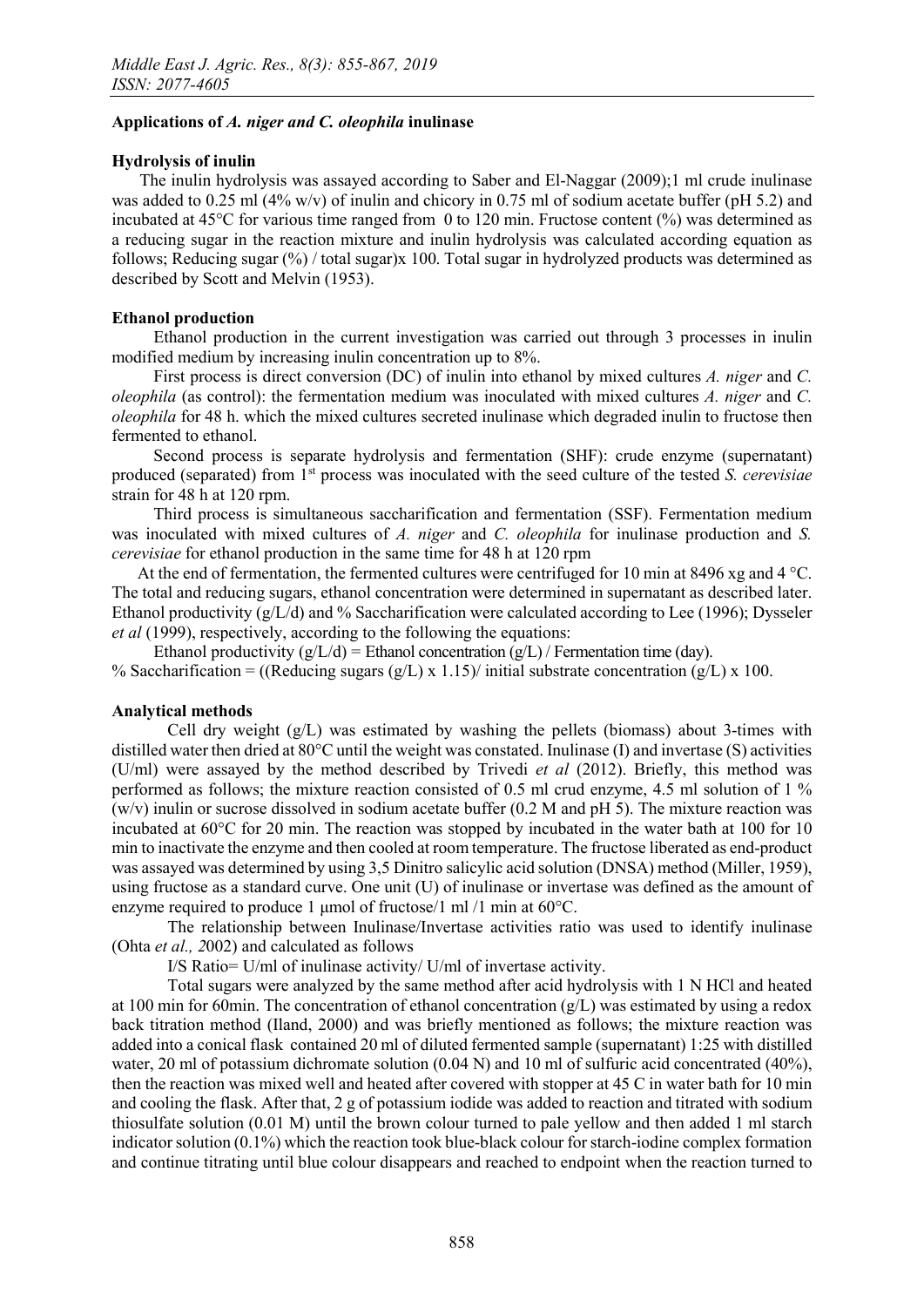# Applications of *A. niger and C. oleophila* inulinase

# Hydrolysis of inulin

The inulin hydrolysis was assayed according to Saber and El-Naggar (2009);1 ml crude inulinase was added to 0.25 ml (4% w/v) of inulin and chicory in 0.75 ml of sodium acetate buffer (pH 5.2) and incubated at 45°C for various time ranged from 0 to 120 min. Fructose content (%) was determined as a reducing sugar in the reaction mixture and inulin hydrolysis was calculated according equation as follows; Reducing sugar (%) / total sugar)x 100. Total sugar in hydrolyzed products was determined as described by Scott and Melvin (1953).

# Ethanol production

Ethanol production in the current investigation was carried out through 3 processes in inulin modified medium by increasing inulin concentration up to 8%.

First process is direct conversion (DC) of inulin into ethanol by mixed cultures *A. niger* and *C. oleophila* (as control): the fermentation medium was inoculated with mixed cultures *A. niger* and *C. oleophila* for 48 h. which the mixed cultures secreted inulinase which degraded inulin to fructose then fermented to ethanol.

Second process is separate hydrolysis and fermentation (SHF): crude enzyme (supernatant) produced (separated) from 1st process was inoculated with the seed culture of the tested *S. cerevisiae* strain for 48 h at 120 rpm.

Third process is simultaneous saccharification and fermentation (SSF). Fermentation medium was inoculated with mixed cultures of *A. niger* and *C. oleophila* for inulinase production and *S. cerevisiae* for ethanol production in the same time for 48 h at 120 rpm

At the end of fermentation, the fermented cultures were centrifuged for 10 min at 8496 xg and 4 °C. The total and reducing sugars, ethanol concentration were determined in supernatant as described later. Ethanol productivity  $(g/L/d)$  and % Saccharification were calculated according to Lee (1996); Dysseler *et al* (1999), respectively, according to the following the equations:

Ethanol productivity  $(g/L/d)$  = Ethanol concentration  $(g/L)$  / Fermentation time (day).

% Saccharification = ((Reducing sugars  $(g/L)$  x 1.15)/ initial substrate concentration  $(g/L)$  x 100.

## Analytical methods

Cell dry weight  $(g/L)$  was estimated by washing the pellets (biomass) about 3-times with distilled water then dried at 80°C until the weight was constated. Inulinase (I) and invertase (S) activities (U/ml) were assayed by the method described by Trivedi *et al* (2012). Briefly, this method was performed as follows; the mixture reaction consisted of 0.5 ml crud enzyme, 4.5 ml solution of 1 %  $(w/v)$  inulin or sucrose dissolved in sodium acetate buffer (0.2 M and pH 5). The mixture reaction was incubated at 60°C for 20 min. The reaction was stopped by incubated in the water bath at 100 for 10 min to inactivate the enzyme and then cooled at room temperature. The fructose liberated as end-product was assayed was determined by using 3,5 Dinitro salicylic acid solution (DNSA) method (Miller, 1959), using fructose as a standard curve. One unit (U) of inulinase or invertase was defined as the amount of enzyme required to produce 1 μmol of fructose/1 ml /1 min at 60°C.

The relationship between Inulinase/Invertase activities ratio was used to identify inulinase (Ohta *et al., 2*002) and calculated as follows

I/S Ratio= U/ml of inulinase activity/ U/ml of invertase activity.

Total sugars were analyzed by the same method after acid hydrolysis with 1 N HCl and heated at 100 min for 60min. The concentration of ethanol concentration  $(g/L)$  was estimated by using a redox back titration method (Iland, 2000) and was briefly mentioned as follows; the mixture reaction was added into a conical flask contained 20 ml of diluted fermented sample (supernatant) 1:25 with distilled water, 20 ml of potassium dichromate solution (0.04 N) and 10 ml of sulfuric acid concentrated (40%), then the reaction was mixed well and heated after covered with stopper at 45 C in water bath for 10 min and cooling the flask. After that, 2 g of potassium iodide was added to reaction and titrated with sodium thiosulfate solution (0.01 M) until the brown colour turned to pale yellow and then added 1 ml starch indicator solution (0.1%) which the reaction took blue-black colour for starch-iodine complex formation and continue titrating until blue colour disappears and reached to endpoint when the reaction turned to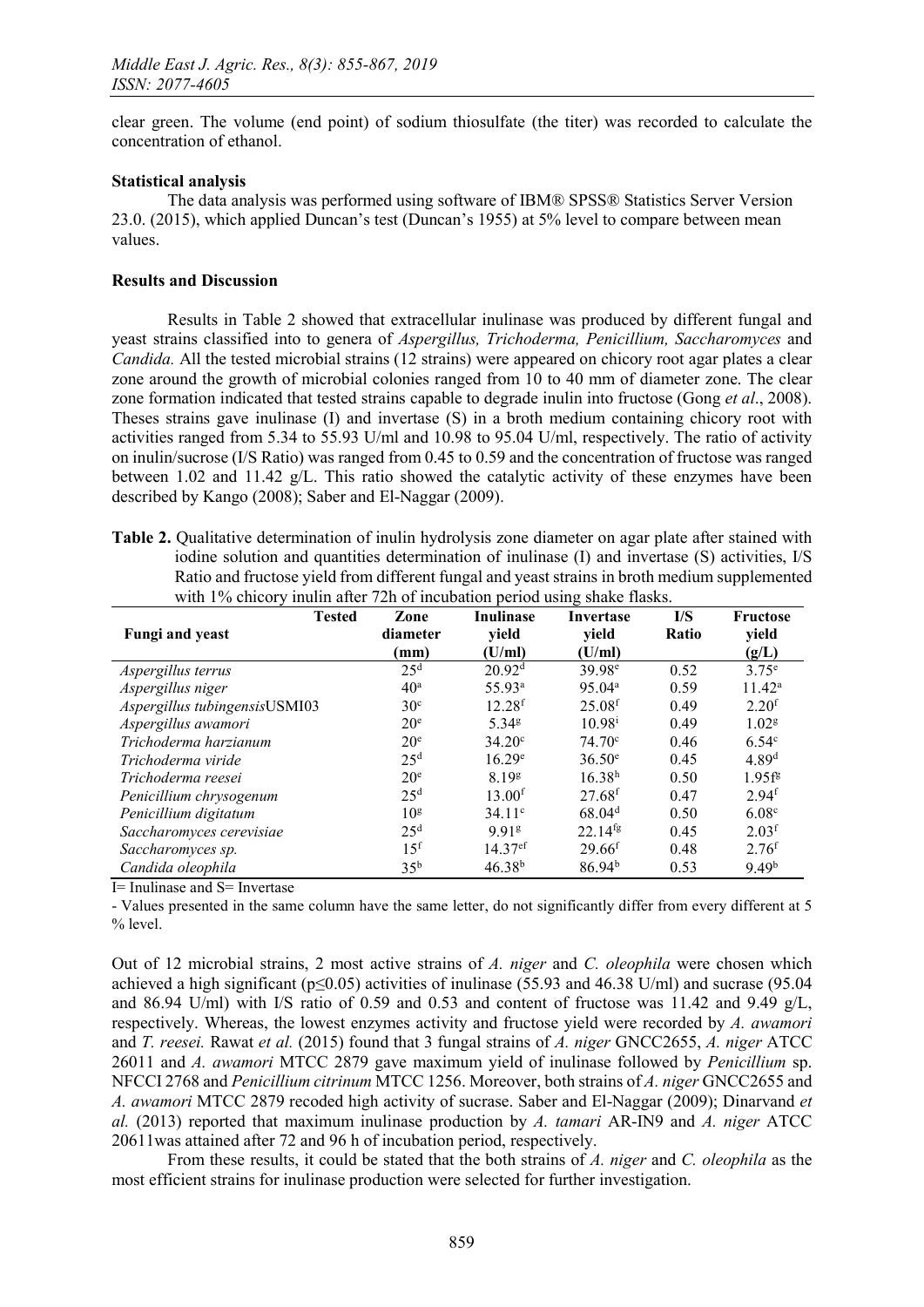clear green. The volume (end point) of sodium thiosulfate (the titer) was recorded to calculate the concentration of ethanol.

## Statistical analysis

The data analysis was performed using software of IBM® SPSS® Statistics Server Version 23.0. (2015), which applied Duncan's test (Duncan's 1955) at 5% level to compare between mean values.

### Results and Discussion

Results in Table 2 showed that extracellular inulinase was produced by different fungal and yeast strains classified into to genera of *Aspergillus, Trichoderma, Penicillium, Saccharomyces* and *Candida.* All the tested microbial strains (12 strains) were appeared on chicory root agar plates a clear zone around the growth of microbial colonies ranged from 10 to 40 mm of diameter zone. The clear zone formation indicated that tested strains capable to degrade inulin into fructose (Gong *et al*., 2008). Theses strains gave inulinase (I) and invertase (S) in a broth medium containing chicory root with activities ranged from 5.34 to 55.93 U/ml and 10.98 to 95.04 U/ml, respectively. The ratio of activity on inulin/sucrose (I/S Ratio) was ranged from 0.45 to 0.59 and the concentration of fructose was ranged between 1.02 and 11.42  $g/L$ . This ratio showed the catalytic activity of these enzymes have been described by Kango (2008); Saber and El-Naggar (2009).

Table 2. Qualitative determination of inulin hydrolysis zone diameter on agar plate after stained with iodine solution and quantities determination of inulinase (I) and invertase (S) activities, I/S Ratio and fructose yield from different fungal and yeast strains in broth medium supplemented with 1% chicory inulin after 72h of incubation period using shake flasks.

| <b>Tested</b><br><b>Fungi</b> and yeast | Zone<br>diameter | <b>Inulinase</b><br>yield | Invertase<br>yield   | I/S<br>Ratio | <b>Fructose</b><br>yield |
|-----------------------------------------|------------------|---------------------------|----------------------|--------------|--------------------------|
|                                         | (mm)             | (U/ml)                    | (U/ml)               |              | (g/L)                    |
| Aspergillus terrus                      | 25 <sup>d</sup>  | 20.92 <sup>d</sup>        | 39.98 <sup>e</sup>   | 0.52         | $3.75^e$                 |
| Aspergillus niger                       | 40 <sup>a</sup>  | 55.93 <sup>a</sup>        | 95.04 <sup>a</sup>   | 0.59         | $11.42^a$                |
| Aspergillus tubingensisUSMI03           | 30 <sup>c</sup>  | 12.28 <sup>f</sup>        | 25.08 <sup>f</sup>   | 0.49         | 2.20 <sup>f</sup>        |
| Aspergillus awamori                     | 20 <sup>e</sup>  | 5.34g                     | $10.98^{i}$          | 0.49         | 1.02 <sup>g</sup>        |
| Trichoderma harzianum                   | 20 <sup>e</sup>  | $34.20^{\circ}$           | $74.70^{\circ}$      | 0.46         | 6.54 <sup>c</sup>        |
| Trichoderma viride                      | 25 <sup>d</sup>  | 16.29e                    | $36.50^e$            | 0.45         | 4.89 <sup>d</sup>        |
| Trichoderma reesei                      | 20 <sup>e</sup>  | 8.19 <sup>g</sup>         | 16.38 <sup>h</sup>   | 0.50         | $1.95f^{g}$              |
| Penicillium chrysogenum                 | 25 <sup>d</sup>  | 13.00 <sup>f</sup>        | $27.68$ <sup>f</sup> | 0.47         | 2.94 <sup>f</sup>        |
| Penicillium digitatum                   | 10 <sup>g</sup>  | 34.11c                    | 68.04 <sup>d</sup>   | 0.50         | 6.08 <sup>c</sup>        |
| Saccharomyces cerevisiae                | 25 <sup>d</sup>  | 991 <sup>g</sup>          | $22.14^{tg}$         | 0.45         | 2.03 <sup>f</sup>        |
| Saccharomyces sp.                       | 15 <sup>f</sup>  | $14.37$ <sup>ef</sup>     | 29.66 <sup>f</sup>   | 0.48         | 2.76 <sup>f</sup>        |
| Candida oleophila                       | 35 <sup>b</sup>  | $46.38^{b}$               | $86.94^{b}$          | 0.53         | 9.49 <sup>b</sup>        |

I= Inulinase and S= Invertase

- Values presented in the same column have the same letter, do not significantly differ from every different at 5 % level.

Out of 12 microbial strains, 2 most active strains of *A. niger* and *C. oleophila* were chosen which achieved a high significant ( $p \le 0.05$ ) activities of inulinase (55.93 and 46.38 U/ml) and sucrase (95.04 and 86.94 U/ml) with I/S ratio of 0.59 and 0.53 and content of fructose was 11.42 and 9.49 g/L, respectively. Whereas, the lowest enzymes activity and fructose yield were recorded by *A. awamori*  and *T. reesei.* Rawat *et al.* (2015) found that 3 fungal strains of *A. niger* GNCC2655, *A. niger* ATCC 26011 and *A. awamori* MTCC 2879 gave maximum yield of inulinase followed by *Penicillium* sp. NFCCI 2768 and *Penicillium citrinum* MTCC 1256. Moreover, both strains of *A. niger* GNCC2655 and *A. awamori* MTCC 2879 recoded high activity of sucrase. Saber and El-Naggar (2009); Dinarvand *et al.* (2013) reported that maximum inulinase production by *A. tamari* AR-IN9 and *A. niger* ATCC 20611was attained after 72 and 96 h of incubation period, respectively.

From these results, it could be stated that the both strains of *A. niger* and *C. oleophila* as the most efficient strains for inulinase production were selected for further investigation.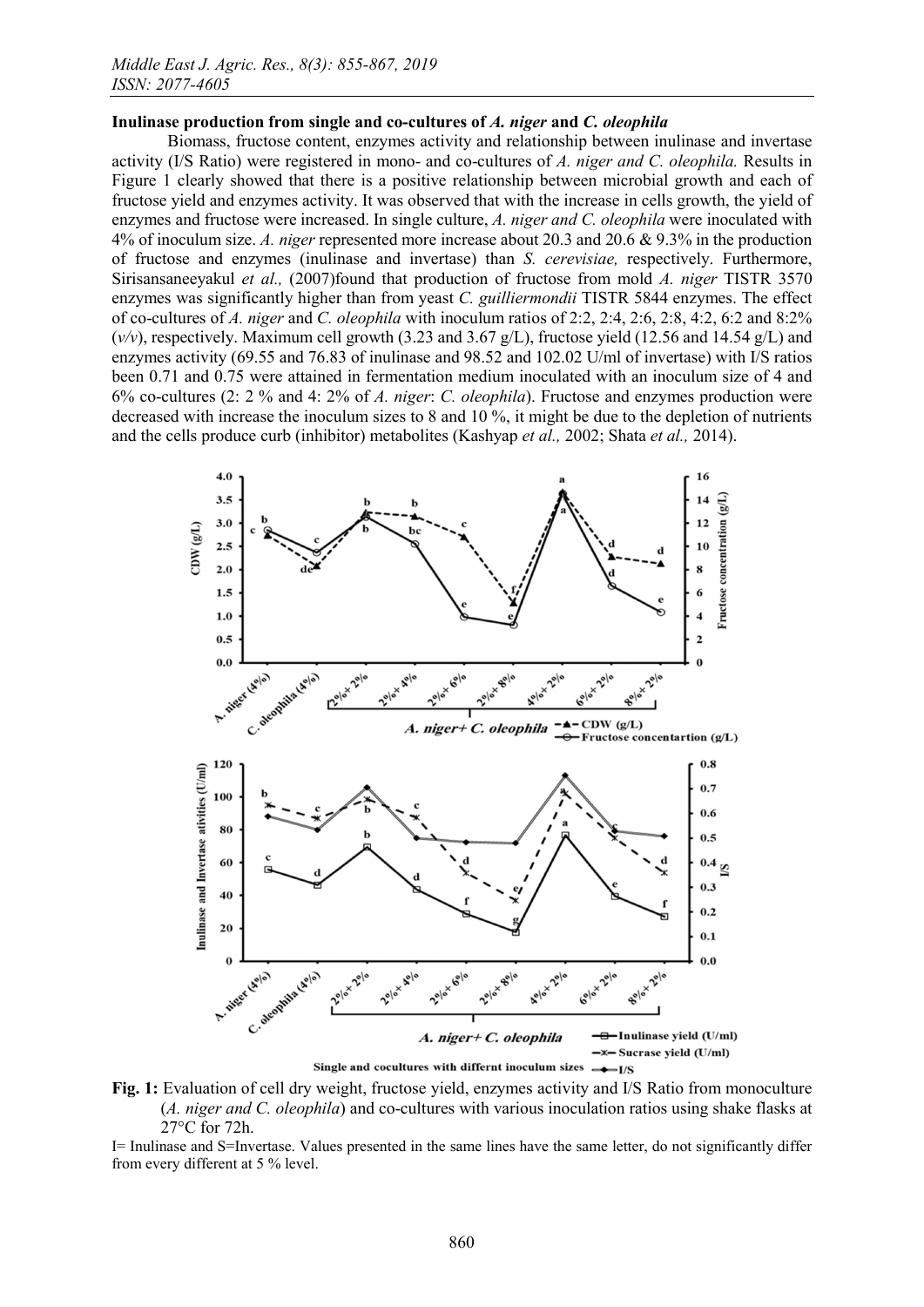#### Inulinase production from single and co-cultures of *A. niger* and *C. oleophila*

Biomass, fructose content, enzymes activity and relationship between inulinase and invertase activity (I/S Ratio) were registered in mono- and co-cultures of *A. niger and C. oleophila.* Results in Figure 1 clearly showed that there is a positive relationship between microbial growth and each of fructose yield and enzymes activity. It was observed that with the increase in cells growth, the yield of enzymes and fructose were increased. In single culture, *A. niger and C. oleophila* were inoculated with 4% of inoculum size. *A. niger* represented more increase about 20.3 and 20.6 & 9.3% in the production of fructose and enzymes (inulinase and invertase) than *S. cerevisiae,* respectively. Furthermore, Sirisansaneeyakul *et al.,* (2007)found that production of fructose from mold *A. niger* TISTR 3570 enzymes was significantly higher than from yeast *C. guilliermondii* TISTR 5844 enzymes. The effect of co-cultures of *A. niger* and *C. oleophila* with inoculum ratios of 2:2, 2:4, 2:6, 2:8, 4:2, 6:2 and 8:2% (*v/v*), respectively. Maximum cell growth (3.23 and 3.67 g/L), fructose yield (12.56 and 14.54 g/L) and enzymes activity (69.55 and 76.83 of inulinase and 98.52 and 102.02 U/ml of invertase) with I/S ratios been 0.71 and 0.75 were attained in fermentation medium inoculated with an inoculum size of 4 and 6% co-cultures (2: 2 % and 4: 2% of *A. niger*: *C. oleophila*). Fructose and enzymes production were decreased with increase the inoculum sizes to 8 and 10 %, it might be due to the depletion of nutrients and the cells produce curb (inhibitor) metabolites (Kashyap *et al.,* 2002; Shata *et al.,* 2014).



Fig. 1: Evaluation of cell dry weight, fructose yield, enzymes activity and I/S Ratio from monoculture (*A. niger and C. oleophila*) and co-cultures with various inoculation ratios using shake flasks at 27°C for 72h.

I= Inulinase and S=Invertase. Values presented in the same lines have the same letter, do not significantly differ from every different at 5 % level.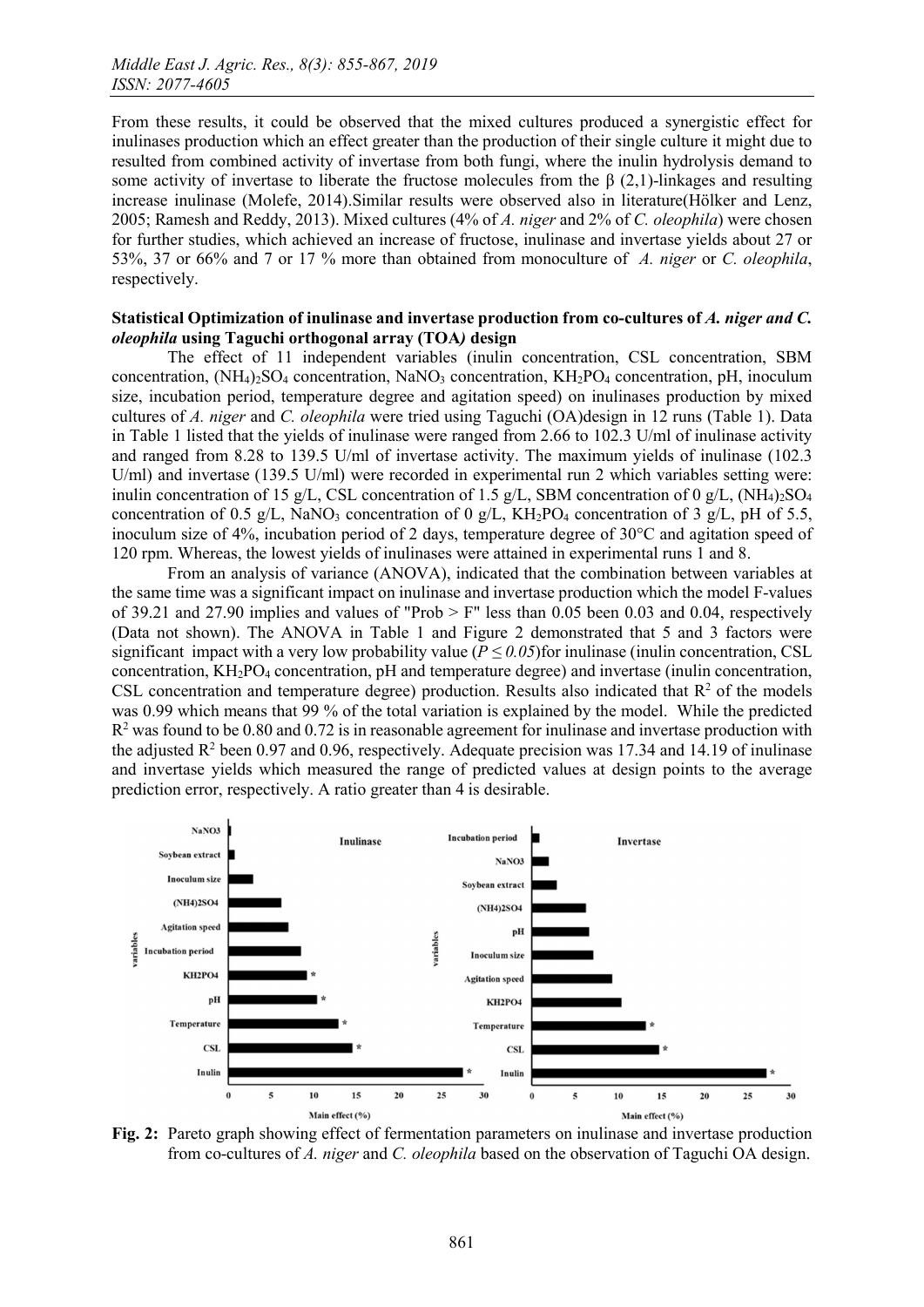From these results, it could be observed that the mixed cultures produced a synergistic effect for inulinases production which an effect greater than the production of their single culture it might due to resulted from combined activity of invertase from both fungi, where the inulin hydrolysis demand to some activity of invertase to liberate the fructose molecules from the  $\beta$  (2,1)-linkages and resulting increase inulinase (Molefe, 2014).Similar results were observed also in literature(Hölker and Lenz, 2005; Ramesh and Reddy, 2013). Mixed cultures (4% of *A. niger* and 2% of *C. oleophila*) were chosen for further studies, which achieved an increase of fructose, inulinase and invertase yields about 27 or 53%, 37 or 66% and 7 or 17 % more than obtained from monoculture of *A. niger* or *C. oleophila*, respectively.

### Statistical Optimization of inulinase and invertase production from co-cultures of *A. niger and C. oleophila* using Taguchi orthogonal array (TOA*)* design

The effect of 11 independent variables (inulin concentration, CSL concentration, SBM concentration,  $(NH_4)_2SO_4$  concentration, NaNO<sub>3</sub> concentration, KH<sub>2</sub>PO<sub>4</sub> concentration, pH, inoculum size, incubation period, temperature degree and agitation speed) on inulinases production by mixed cultures of *A. niger* and *C. oleophila* were tried using Taguchi (OA)design in 12 runs (Table 1). Data in Table 1 listed that the yields of inulinase were ranged from 2.66 to 102.3 U/ml of inulinase activity and ranged from 8.28 to 139.5 U/ml of invertase activity. The maximum yields of inulinase (102.3 U/ml) and invertase (139.5 U/ml) were recorded in experimental run 2 which variables setting were: inulin concentration of 15 g/L, CSL concentration of 1.5 g/L, SBM concentration of 0 g/L,  $(NH<sub>4</sub>)<sub>2</sub>SO<sub>4</sub>$ concentration of 0.5 g/L, NaNO<sub>3</sub> concentration of 0 g/L, KH<sub>2</sub>PO<sub>4</sub> concentration of 3 g/L, pH of 5.5, inoculum size of 4%, incubation period of 2 days, temperature degree of 30°C and agitation speed of 120 rpm. Whereas, the lowest yields of inulinases were attained in experimental runs 1 and 8.

From an analysis of variance (ANOVA), indicated that the combination between variables at the same time was a significant impact on inulinase and invertase production which the model F-values of 39.21 and 27.90 implies and values of "Prob  $>$  F" less than 0.05 been 0.03 and 0.04, respectively (Data not shown). The ANOVA in Table 1 and Figure 2 demonstrated that 5 and 3 factors were significant impact with a very low probability value ( $P \le 0.05$ )for inulinase (inulin concentration, CSL concentration, KH2PO4 concentration, pH and temperature degree) and invertase (inulin concentration, CSL concentration and temperature degree) production. Results also indicated that  $R<sup>2</sup>$  of the models was 0.99 which means that 99 % of the total variation is explained by the model. While the predicted  $R<sup>2</sup>$  was found to be 0.80 and 0.72 is in reasonable agreement for inulinase and invertase production with the adjusted  $\mathbb{R}^2$  been 0.97 and 0.96, respectively. Adequate precision was 17.34 and 14.19 of inulinase and invertase yields which measured the range of predicted values at design points to the average prediction error, respectively. A ratio greater than 4 is desirable.



Fig. 2: Pareto graph showing effect of fermentation parameters on inulinase and invertase production from co-cultures of *A. niger* and *C. oleophila* based on the observation of Taguchi OA design.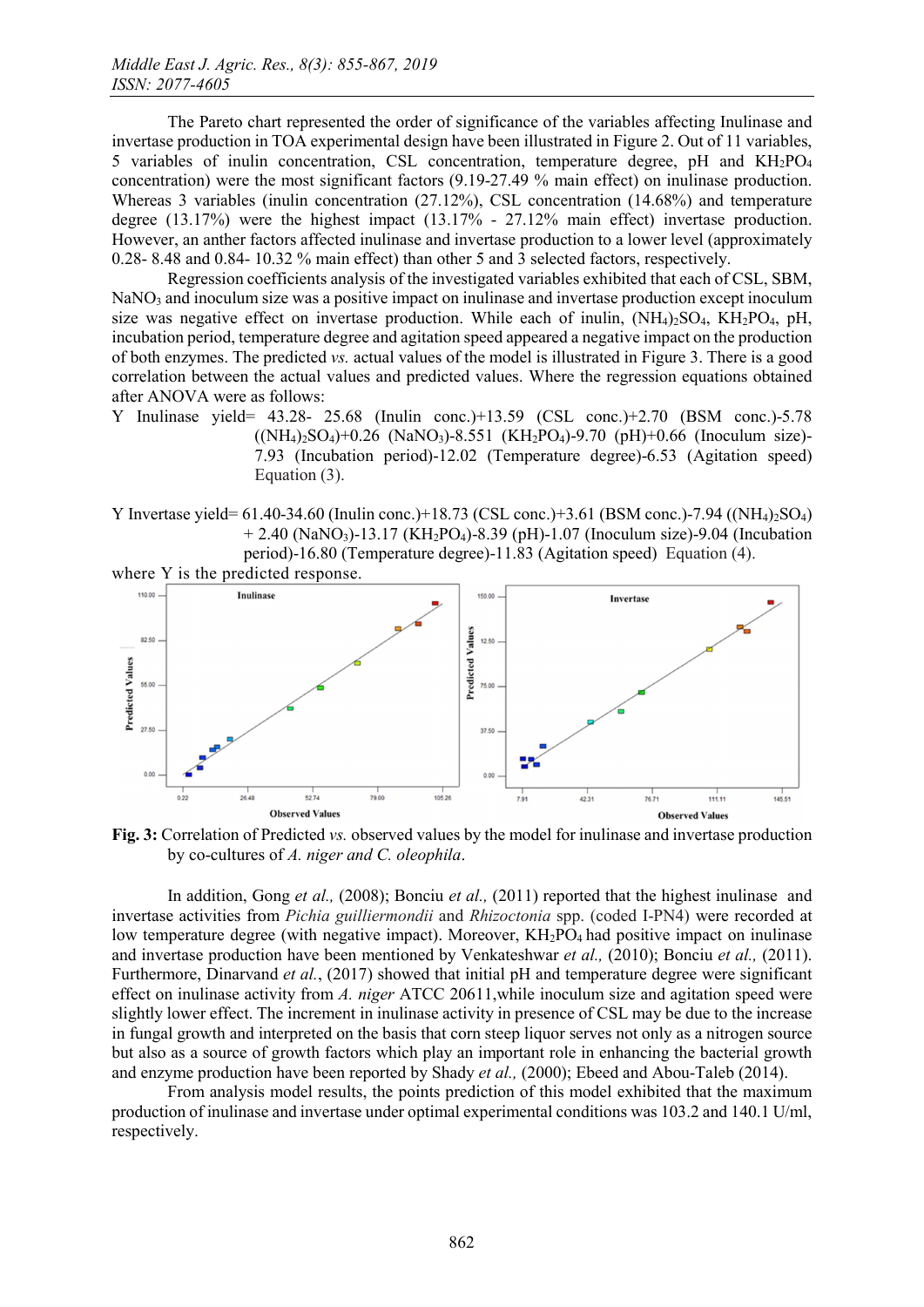The Pareto chart represented the order of significance of the variables affecting Inulinase and invertase production in TOA experimental design have been illustrated in Figure 2. Out of 11 variables, 5 variables of inulin concentration, CSL concentration, temperature degree, pH and KH<sub>2</sub>PO<sub>4</sub> concentration) were the most significant factors (9.19-27.49 % main effect) on inulinase production. Whereas 3 variables (inulin concentration (27.12%), CSL concentration (14.68%) and temperature degree (13.17%) were the highest impact (13.17% - 27.12% main effect) invertase production. However, an anther factors affected inulinase and invertase production to a lower level (approximately 0.28- 8.48 and 0.84- 10.32 % main effect) than other 5 and 3 selected factors, respectively.

Regression coefficients analysis of the investigated variables exhibited that each of CSL, SBM, NaNO<sub>3</sub> and inoculum size was a positive impact on inulinase and invertase production except inoculum size was negative effect on invertase production. While each of inulin,  $(NH_4)_2SO_4$ ,  $KH_2PO_4$ ,  $pH$ , incubation period, temperature degree and agitation speed appeared a negative impact on the production of both enzymes. The predicted *vs.* actual values of the model is illustrated in Figure 3. There is a good correlation between the actual values and predicted values. Where the regression equations obtained after ANOVA were as follows:

- Y Inulinase yield= 43.28- 25.68 (Inulin conc.)+13.59 (CSL conc.)+2.70 (BSM conc.)-5.78  $(NH_4)_{2}SO_4$  $+0.26$  (NaNO<sub>3</sub>)-8.551 (KH<sub>2</sub>PO<sub>4</sub>)-9.70 (pH)+0.66 (Inoculum size)-7.93 (Incubation period)-12.02 (Temperature degree)-6.53 (Agitation speed) Equation (3).
- Y Invertase yield= 61.40-34.60 (Inulin conc.)+18.73 (CSL conc.)+3.61 (BSM conc.)-7.94 ((NH4)2SO4) + 2.40 (NaNO3)-13.17 (KH2PO4)-8.39 (pH)-1.07 (Inoculum size)-9.04 (Incubation period)-16.80 (Temperature degree)-11.83 (Agitation speed) Equation (4).



Fig. 3: Correlation of Predicted *vs.* observed values by the model for inulinase and invertase production by co-cultures of *A. niger and C. oleophila*.

In addition, Gong *et al.,* (2008); Bonciu *et al.,* (2011) reported that the highest inulinase and invertase activities from *Pichia guilliermondii* and *Rhizoctonia* spp. (coded I-PN4) were recorded at low temperature degree (with negative impact). Moreover,  $KH<sub>2</sub>PO<sub>4</sub>$  had positive impact on inulinase and invertase production have been mentioned by Venkateshwar *et al.,* (2010); Bonciu *et al.,* (2011). Furthermore, Dinarvand *et al.*, (2017) showed that initial pH and temperature degree were significant effect on inulinase activity from *A. niger* ATCC 20611,while inoculum size and agitation speed were slightly lower effect. The increment in inulinase activity in presence of CSL may be due to the increase in fungal growth and interpreted on the basis that corn steep liquor serves not only as a nitrogen source but also as a source of growth factors which play an important role in enhancing the bacterial growth and enzyme production have been reported by Shady *et al.,* (2000); Ebeed and Abou-Taleb (2014).

From analysis model results, the points prediction of this model exhibited that the maximum production of inulinase and invertase under optimal experimental conditions was 103.2 and 140.1 U/ml, respectively.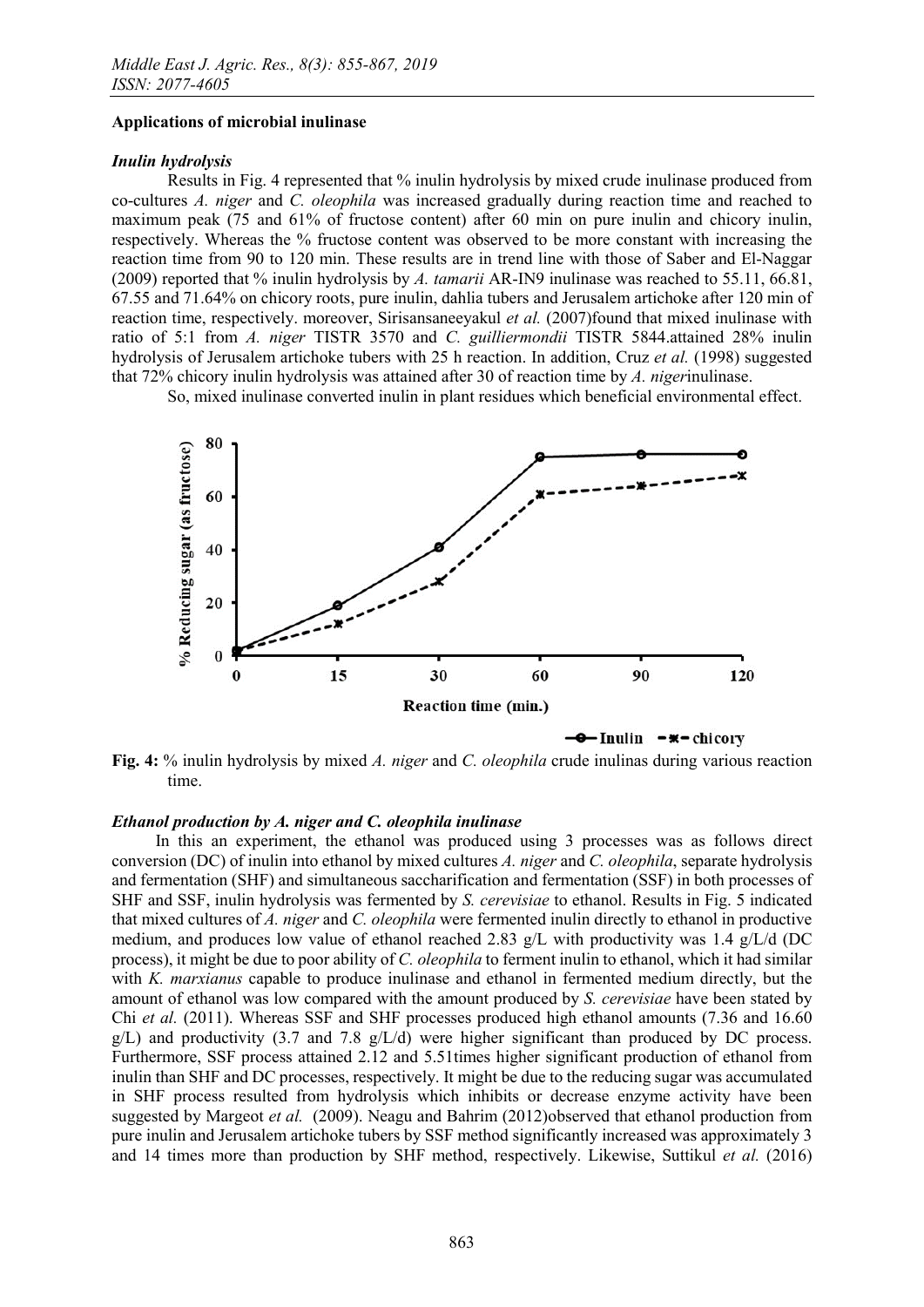#### Applications of microbial inulinase

### *Inulin hydrolysis*

Results in Fig. 4 represented that % inulin hydrolysis by mixed crude inulinase produced from co-cultures *A. niger* and *C. oleophila* was increased gradually during reaction time and reached to maximum peak (75 and 61% of fructose content) after 60 min on pure inulin and chicory inulin, respectively. Whereas the % fructose content was observed to be more constant with increasing the reaction time from 90 to 120 min. These results are in trend line with those of Saber and El-Naggar (2009) reported that % inulin hydrolysis by *A. tamarii* AR-IN9 inulinase was reached to 55.11, 66.81, 67.55 and 71.64% on chicory roots, pure inulin, dahlia tubers and Jerusalem artichoke after 120 min of reaction time, respectively. moreover, Sirisansaneeyakul *et al.* (2007)found that mixed inulinase with ratio of 5:1 from *A. niger* TISTR 3570 and *C. guilliermondii* TISTR 5844.attained 28% inulin hydrolysis of Jerusalem artichoke tubers with 25 h reaction. In addition, Cruz *et al.* (1998) suggested that 72% chicory inulin hydrolysis was attained after 30 of reaction time by *A. niger*inulinase.

So, mixed inulinase converted inulin in plant residues which beneficial environmental effect.



Fig. 4: % inulin hydrolysis by mixed *A. niger* and *C. oleophila* crude inulinas during various reaction time.

## *Ethanol production by A. niger and C. oleophila inulinase*

In this an experiment, the ethanol was produced using 3 processes was as follows direct conversion (DC) of inulin into ethanol by mixed cultures *A. niger* and *C. oleophila*, separate hydrolysis and fermentation (SHF) and simultaneous saccharification and fermentation (SSF) in both processes of SHF and SSF, inulin hydrolysis was fermented by *S. cerevisiae* to ethanol. Results in Fig. 5 indicated that mixed cultures of *A. niger* and *C. oleophila* were fermented inulin directly to ethanol in productive medium, and produces low value of ethanol reached 2.83 g/L with productivity was 1.4 g/L/d (DC process), it might be due to poor ability of *C. oleophila* to ferment inulin to ethanol, which it had similar with *K. marxianus* capable to produce inulinase and ethanol in fermented medium directly, but the amount of ethanol was low compared with the amount produced by *S. cerevisiae* have been stated by Chi *et al.* (2011). Whereas SSF and SHF processes produced high ethanol amounts (7.36 and 16.60  $g/L$ ) and productivity (3.7 and 7.8  $g/L/d$ ) were higher significant than produced by DC process. Furthermore, SSF process attained 2.12 and 5.51times higher significant production of ethanol from inulin than SHF and DC processes, respectively. It might be due to the reducing sugar was accumulated in SHF process resulted from hydrolysis which inhibits or decrease enzyme activity have been suggested by Margeot *et al.* (2009). Neagu and Bahrim (2012)observed that ethanol production from pure inulin and Jerusalem artichoke tubers by SSF method significantly increased was approximately 3 and 14 times more than production by SHF method, respectively. Likewise, Suttikul *et al.* (2016)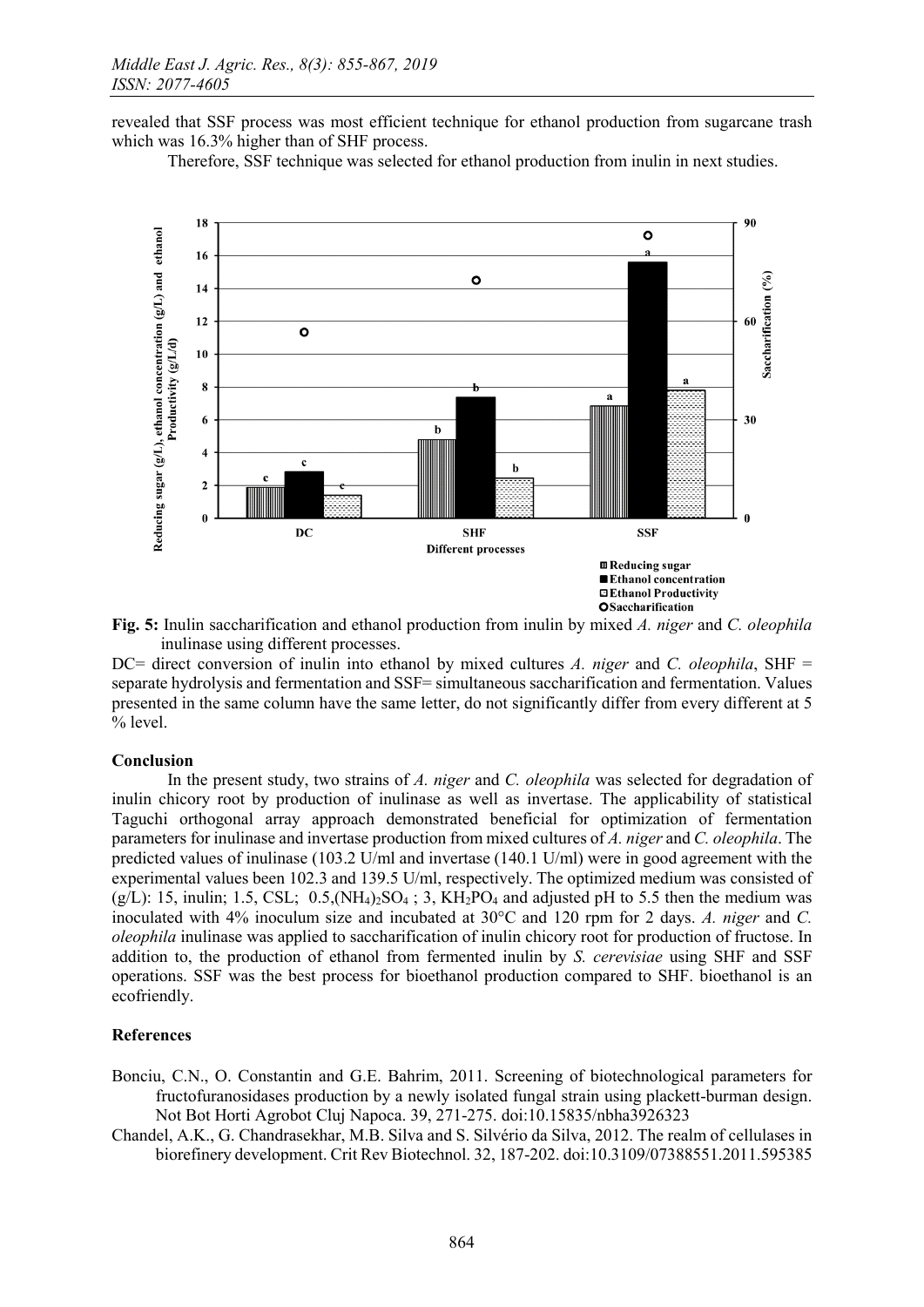revealed that SSF process was most efficient technique for ethanol production from sugarcane trash which was  $16.3\%$  higher than of SHF process.

Therefore, SSF technique was selected for ethanol production from inulin in next studies.



Fig. 5: Inulin saccharification and ethanol production from inulin by mixed *A. niger* and *C. oleophila*  inulinase using different processes.

DC= direct conversion of inulin into ethanol by mixed cultures *A. niger* and *C. oleophila*, SHF = separate hydrolysis and fermentation and SSF= simultaneous saccharification and fermentation. Values presented in the same column have the same letter, do not significantly differ from every different at 5 % level.

## Conclusion

In the present study, two strains of *A. niger* and *C. oleophila* was selected for degradation of inulin chicory root by production of inulinase as well as invertase. The applicability of statistical Taguchi orthogonal array approach demonstrated beneficial for optimization of fermentation parameters for inulinase and invertase production from mixed cultures of *A. niger* and *C. oleophila*. The predicted values of inulinase (103.2 U/ml and invertase (140.1 U/ml) were in good agreement with the experimental values been 102.3 and 139.5 U/ml, respectively. The optimized medium was consisted of  $(g/L)$ : 15, inulin; 1.5, CSL; 0.5,  $(NH_4)_{2}SO_4$ ; 3,  $KH_2PO_4$  and adjusted pH to 5.5 then the medium was inoculated with 4% inoculum size and incubated at 30°C and 120 rpm for 2 days. *A. niger* and *C. oleophila* inulinase was applied to saccharification of inulin chicory root for production of fructose. In addition to, the production of ethanol from fermented inulin by *S. cerevisiae* using SHF and SSF operations. SSF was the best process for bioethanol production compared to SHF. bioethanol is an ecofriendly.

## References

- Bonciu, C.N., O. Constantin and G.E. Bahrim, 2011. Screening of biotechnological parameters for fructofuranosidases production by a newly isolated fungal strain using plackett-burman design. Not Bot Horti Agrobot Cluj Napoca. 39, 271-275. doi:10.15835/nbha3926323
- Chandel, A.K., G. Chandrasekhar, M.B. Silva and S. Silvério da Silva, 2012. The realm of cellulases in biorefinery development. Crit Rev Biotechnol. 32, 187-202. doi:10.3109/07388551.2011.595385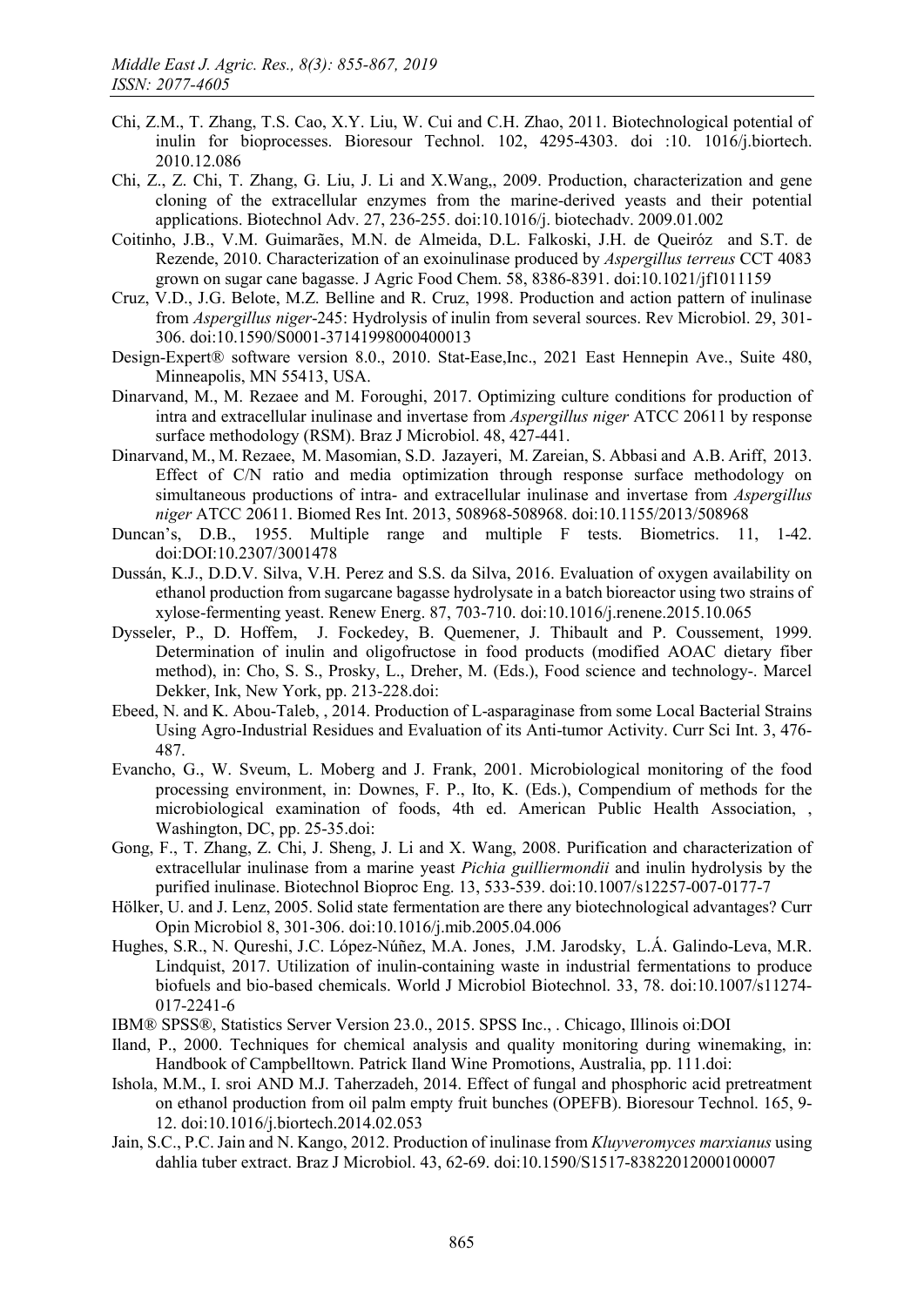- Chi, Z.M., T. Zhang, T.S. Cao, X.Y. Liu, W. Cui and C.H. Zhao, 2011. Biotechnological potential of inulin for bioprocesses. Bioresour Technol. 102, 4295-4303. doi :10. 1016/j.biortech. 2010.12.086
- Chi, Z., Z. Chi, T. Zhang, G. Liu, J. Li and X.Wang,, 2009. Production, characterization and gene cloning of the extracellular enzymes from the marine-derived yeasts and their potential applications. Biotechnol Adv. 27, 236-255. doi:10.1016/j. biotechadv. 2009.01.002
- Coitinho, J.B., V.M. Guimarães, M.N. de Almeida, D.L. Falkoski, J.H. de Queiróz and S.T. de Rezende, 2010. Characterization of an exoinulinase produced by *Aspergillus terreus* CCT 4083 grown on sugar cane bagasse. J Agric Food Chem. 58, 8386-8391. doi:10.1021/jf1011159
- Cruz, V.D., J.G. Belote, M.Z. Belline and R. Cruz, 1998. Production and action pattern of inulinase from *Aspergillus niger*-245: Hydrolysis of inulin from several sources. Rev Microbiol. 29, 301- 306. doi:10.1590/S0001-37141998000400013
- Design-Expert® software version 8.0., 2010. Stat-Ease,Inc., 2021 East Hennepin Ave., Suite 480, Minneapolis, MN 55413, USA.
- Dinarvand, M., M. Rezaee and M. Foroughi, 2017. Optimizing culture conditions for production of intra and extracellular inulinase and invertase from *Aspergillus niger* ATCC 20611 by response surface methodology (RSM). Braz J Microbiol. 48, 427-441.
- Dinarvand, M., M. Rezaee, M. Masomian, S.D. Jazayeri, M. Zareian, S. Abbasi and A.B. Ariff, 2013. Effect of C/N ratio and media optimization through response surface methodology on simultaneous productions of intra- and extracellular inulinase and invertase from *Aspergillus niger* ATCC 20611. Biomed Res Int. 2013, 508968-508968. doi:10.1155/2013/508968
- Duncan's, D.B., 1955. Multiple range and multiple F tests. Biometrics. 11, 1-42. doi:DOI:10.2307/3001478
- Dussán, K.J., D.D.V. Silva, V.H. Perez and S.S. da Silva, 2016. Evaluation of oxygen availability on ethanol production from sugarcane bagasse hydrolysate in a batch bioreactor using two strains of xylose-fermenting yeast. Renew Energ. 87, 703-710. doi:10.1016/j.renene.2015.10.065
- Dysseler, P., D. Hoffem, J. Fockedey, B. Quemener, J. Thibault and P. Coussement, 1999. Determination of inulin and oligofructose in food products (modified AOAC dietary fiber method), in: Cho, S. S., Prosky, L., Dreher, M. (Eds.), Food science and technology-. Marcel Dekker, Ink, New York, pp. 213-228.doi:
- Ebeed, N. and K. Abou-Taleb, , 2014. Production of L-asparaginase from some Local Bacterial Strains Using Agro-Industrial Residues and Evaluation of its Anti-tumor Activity. Curr Sci Int. 3, 476- 487.
- Evancho, G., W. Sveum, L. Moberg and J. Frank, 2001. Microbiological monitoring of the food processing environment, in: Downes, F. P., Ito, K. (Eds.), Compendium of methods for the microbiological examination of foods, 4th ed. American Public Health Association, , Washington, DC, pp. 25-35.doi:
- Gong, F., T. Zhang, Z. Chi, J. Sheng, J. Li and X. Wang, 2008. Purification and characterization of extracellular inulinase from a marine yeast *Pichia guilliermondii* and inulin hydrolysis by the purified inulinase. Biotechnol Bioproc Eng. 13, 533-539. doi:10.1007/s12257-007-0177-7
- Hölker, U. and J. Lenz, 2005. Solid state fermentation are there any biotechnological advantages? Curr Opin Microbiol 8, 301-306. doi:10.1016/j.mib.2005.04.006
- Hughes, S.R., N. Qureshi, J.C. López-Núñez, M.A. Jones, J.M. Jarodsky, L.Á. Galindo-Leva, M.R. Lindquist, 2017. Utilization of inulin-containing waste in industrial fermentations to produce biofuels and bio-based chemicals. World J Microbiol Biotechnol. 33, 78. doi:10.1007/s11274- 017-2241-6
- IBM® SPSS®, Statistics Server Version 23.0., 2015. SPSS Inc., . Chicago, Illinois oi:DOI
- Iland, P., 2000. Techniques for chemical analysis and quality monitoring during winemaking, in: Handbook of Campbelltown. Patrick Iland Wine Promotions, Australia, pp. 111.doi:
- Ishola, M.M., I. sroi AND M.J. Taherzadeh, 2014. Effect of fungal and phosphoric acid pretreatment on ethanol production from oil palm empty fruit bunches (OPEFB). Bioresour Technol. 165, 9- 12. doi:10.1016/j.biortech.2014.02.053
- Jain, S.C., P.C. Jain and N. Kango, 2012. Production of inulinase from *Kluyveromyces marxianus* using dahlia tuber extract. Braz J Microbiol. 43, 62-69. doi:10.1590/S1517-83822012000100007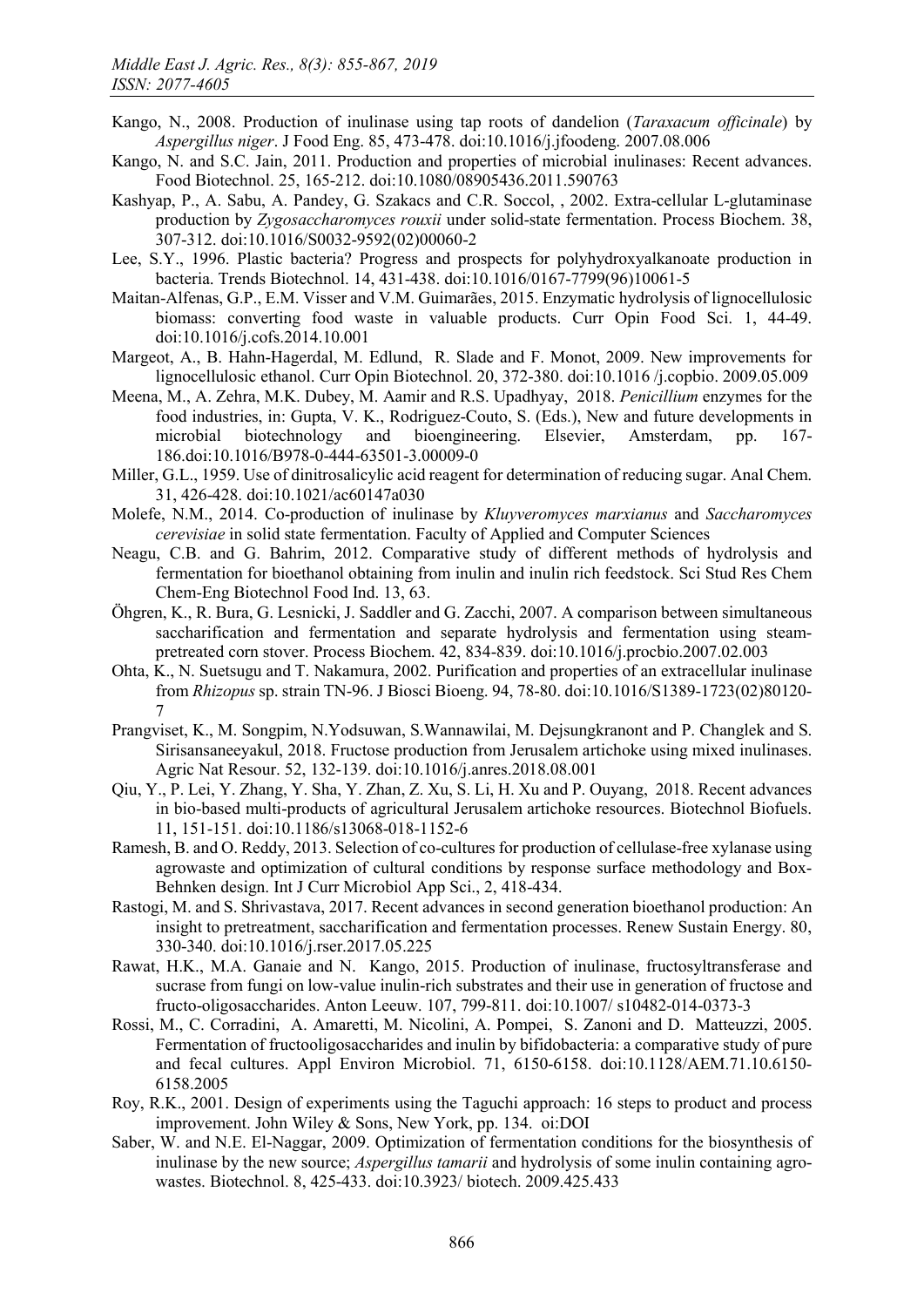- Kango, N., 2008. Production of inulinase using tap roots of dandelion (*Taraxacum officinale*) by *Aspergillus niger*. J Food Eng. 85, 473-478. doi:10.1016/j.jfoodeng. 2007.08.006
- Kango, N. and S.C. Jain, 2011. Production and properties of microbial inulinases: Recent advances. Food Biotechnol. 25, 165-212. doi:10.1080/08905436.2011.590763
- Kashyap, P., A. Sabu, A. Pandey, G. Szakacs and C.R. Soccol, , 2002. Extra-cellular L-glutaminase production by *Zygosaccharomyces rouxii* under solid-state fermentation. Process Biochem. 38, 307-312. doi:10.1016/S0032-9592(02)00060-2
- Lee, S.Y., 1996. Plastic bacteria? Progress and prospects for polyhydroxyalkanoate production in bacteria. Trends Biotechnol. 14, 431-438. doi:10.1016/0167-7799(96)10061-5
- Maitan-Alfenas, G.P., E.M. Visser and V.M. Guimarães, 2015. Enzymatic hydrolysis of lignocellulosic biomass: converting food waste in valuable products. Curr Opin Food Sci. 1, 44-49. doi:10.1016/j.cofs.2014.10.001
- Margeot, A., B. Hahn-Hagerdal, M. Edlund, R. Slade and F. Monot, 2009. New improvements for lignocellulosic ethanol. Curr Opin Biotechnol. 20, 372-380. doi:10.1016 /j.copbio. 2009.05.009
- Meena, M., A. Zehra, M.K. Dubey, M. Aamir and R.S. Upadhyay, 2018. *Penicillium* enzymes for the food industries, in: Gupta, V. K., Rodriguez-Couto, S. (Eds.), New and future developments in microbial biotechnology and bioengineering. Elsevier, Amsterdam, pp. 167- 186.doi:10.1016/B978-0-444-63501-3.00009-0
- Miller, G.L., 1959. Use of dinitrosalicylic acid reagent for determination of reducing sugar. Anal Chem. 31, 426-428. doi:10.1021/ac60147a030
- Molefe, N.M., 2014. Co-production of inulinase by *Kluyveromyces marxianus* and *Saccharomyces cerevisiae* in solid state fermentation. Faculty of Applied and Computer Sciences
- Neagu, C.B. and G. Bahrim, 2012. Comparative study of different methods of hydrolysis and fermentation for bioethanol obtaining from inulin and inulin rich feedstock. Sci Stud Res Chem Chem-Eng Biotechnol Food Ind. 13, 63.
- Öhgren, K., R. Bura, G. Lesnicki, J. Saddler and G. Zacchi, 2007. A comparison between simultaneous saccharification and fermentation and separate hydrolysis and fermentation using steampretreated corn stover. Process Biochem. 42, 834-839. doi:10.1016/j.procbio.2007.02.003
- Ohta, K., N. Suetsugu and T. Nakamura, 2002. Purification and properties of an extracellular inulinase from *Rhizopus* sp. strain TN-96. J Biosci Bioeng. 94, 78-80. doi:10.1016/S1389-1723(02)80120- 7
- Prangviset, K., M. Songpim, N.Yodsuwan, S.Wannawilai, M. Dejsungkranont and P. Changlek and S. Sirisansaneeyakul, 2018. Fructose production from Jerusalem artichoke using mixed inulinases. Agric Nat Resour. 52, 132-139. doi:10.1016/j.anres.2018.08.001
- Qiu, Y., P. Lei, Y. Zhang, Y. Sha, Y. Zhan, Z. Xu, S. Li, H. Xu and P. Ouyang, 2018. Recent advances in bio-based multi-products of agricultural Jerusalem artichoke resources. Biotechnol Biofuels. 11, 151-151. doi:10.1186/s13068-018-1152-6
- Ramesh, B. and O. Reddy, 2013. Selection of co-cultures for production of cellulase-free xylanase using agrowaste and optimization of cultural conditions by response surface methodology and Box-Behnken design. Int J Curr Microbiol App Sci., 2, 418-434.
- Rastogi, M. and S. Shrivastava, 2017. Recent advances in second generation bioethanol production: An insight to pretreatment, saccharification and fermentation processes. Renew Sustain Energy. 80, 330-340. doi:10.1016/j.rser.2017.05.225
- Rawat, H.K., M.A. Ganaie and N. Kango, 2015. Production of inulinase, fructosyltransferase and sucrase from fungi on low-value inulin-rich substrates and their use in generation of fructose and fructo-oligosaccharides. Anton Leeuw. 107, 799-811. doi:10.1007/ s10482-014-0373-3
- Rossi, M., C. Corradini, A. Amaretti, M. Nicolini, A. Pompei, S. Zanoni and D. Matteuzzi, 2005. Fermentation of fructooligosaccharides and inulin by bifidobacteria: a comparative study of pure and fecal cultures. Appl Environ Microbiol. 71, 6150-6158. doi:10.1128/AEM.71.10.6150- 6158.2005
- Roy, R.K., 2001. Design of experiments using the Taguchi approach: 16 steps to product and process improvement. John Wiley & Sons, New York, pp. 134. oi:DOI
- Saber, W. and N.E. El-Naggar, 2009. Optimization of fermentation conditions for the biosynthesis of inulinase by the new source; *Aspergillus tamarii* and hydrolysis of some inulin containing agrowastes. Biotechnol. 8, 425-433. doi:10.3923/ biotech. 2009.425.433